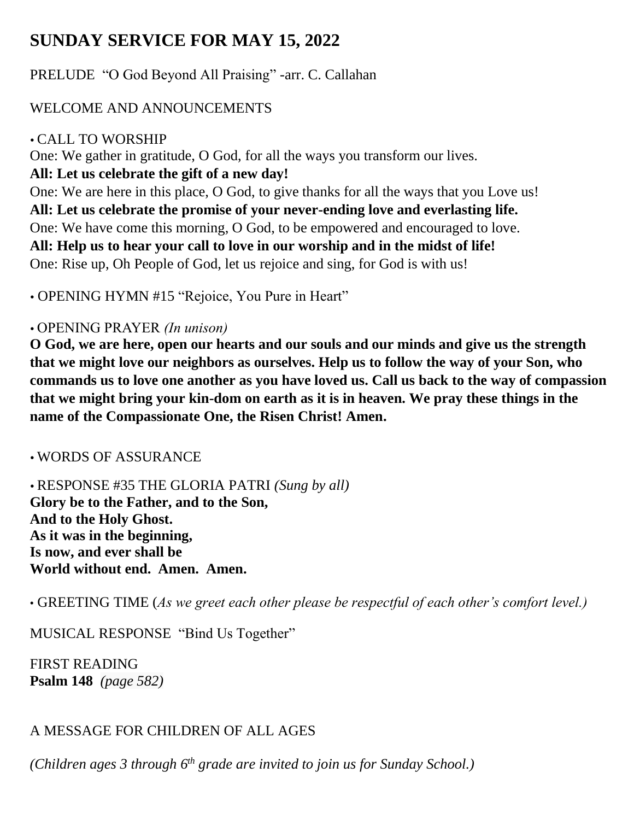# **SUNDAY SERVICE FOR MAY 15, 2022**

PRELUDE "O God Beyond All Praising" -arr. C. Callahan

## WELCOME AND ANNOUNCEMENTS

### CALL TO WORSHIP

One: We gather in gratitude, O God, for all the ways you transform our lives. **All: Let us celebrate the gift of a new day!**

One: We are here in this place, O God, to give thanks for all the ways that you Love us! **All: Let us celebrate the promise of your never-ending love and everlasting life.** One: We have come this morning, O God, to be empowered and encouraged to love. **All: Help us to hear your call to love in our worship and in the midst of life!**

One: Rise up, Oh People of God, let us rejoice and sing, for God is with us!

OPENING HYMN #15 "Rejoice, You Pure in Heart"

## OPENING PRAYER *(In unison)*

**O God, we are here, open our hearts and our souls and our minds and give us the strength that we might love our neighbors as ourselves. Help us to follow the way of your Son, who commands us to love one another as you have loved us. Call us back to the way of compassion that we might bring your kin-dom on earth as it is in heaven. We pray these things in the name of the Compassionate One, the Risen Christ! Amen.**

WORDS OF ASSURANCE

 RESPONSE #35 THE GLORIA PATRI *(Sung by all)*  **Glory be to the Father, and to the Son, And to the Holy Ghost. As it was in the beginning, Is now, and ever shall be World without end. Amen. Amen.**

• GREETING TIME (*As we greet each other please be respectful of each other's comfort level.)*

MUSICAL RESPONSE "Bind Us Together"

FIRST READING **Psalm 148** *(page 582)*

# A MESSAGE FOR CHILDREN OF ALL AGES

*(Children ages 3 through 6 th grade are invited to join us for Sunday School.)*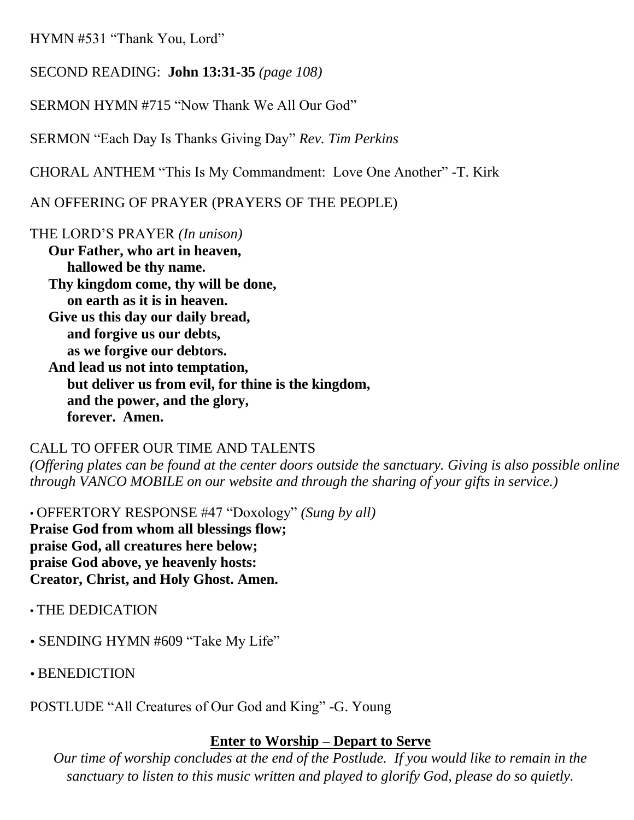HYMN #531 "Thank You, Lord"

SECOND READING: **John 13:31-35** *(page 108)*

SERMON HYMN #715 "Now Thank We All Our God"

SERMON "Each Day Is Thanks Giving Day" *Rev. Tim Perkins*

CHORAL ANTHEM "This Is My Commandment: Love One Another" -T. Kirk

AN OFFERING OF PRAYER (PRAYERS OF THE PEOPLE)

THE LORD'S PRAYER *(In unison)*

**Our Father, who art in heaven, hallowed be thy name. Thy kingdom come, thy will be done, on earth as it is in heaven. Give us this day our daily bread, and forgive us our debts, as we forgive our debtors. And lead us not into temptation, but deliver us from evil, for thine is the kingdom, and the power, and the glory, forever. Amen.** 

#### CALL TO OFFER OUR TIME AND TALENTS

*(Offering plates can be found at the center doors outside the sanctuary. Giving is also possible online through VANCO MOBILE on our website and through the sharing of your gifts in service.)*

• OFFERTORY RESPONSE #47 "Doxology" *(Sung by all)*  **Praise God from whom all blessings flow; praise God, all creatures here below; praise God above, ye heavenly hosts: Creator, Christ, and Holy Ghost. Amen.**

- THE DEDICATION
- SENDING HYMN #609 "Take My Life"
- BENEDICTION

POSTLUDE "All Creatures of Our God and King" -G. Young

#### **Enter to Worship – Depart to Serve**

*Our time of worship concludes at the end of the Postlude. If you would like to remain in the sanctuary to listen to this music written and played to glorify God, please do so quietly.*